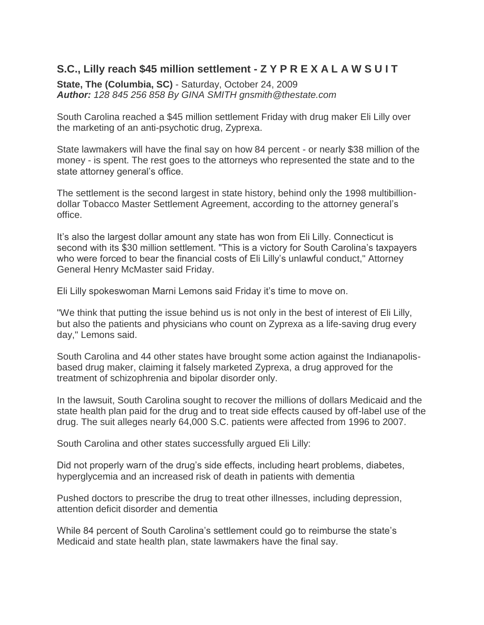## **S.C., Lilly reach \$45 million settlement - Z Y P R E X A L A W S U I T**

**State, The (Columbia, SC)** - Saturday, October 24, 2009 *Author: 128 845 256 858 By GINA SMITH gnsmith@thestate.com*

South Carolina reached a \$45 million settlement Friday with drug maker Eli Lilly over the marketing of an anti-psychotic drug, Zyprexa.

State lawmakers will have the final say on how 84 percent - or nearly \$38 million of the money - is spent. The rest goes to the attorneys who represented the state and to the state attorney general's office.

The settlement is the second largest in state history, behind only the 1998 multibilliondollar Tobacco Master Settlement Agreement, according to the attorney general's office.

It's also the largest dollar amount any state has won from Eli Lilly. Connecticut is second with its \$30 million settlement. "This is a victory for South Carolina's taxpayers who were forced to bear the financial costs of Eli Lilly's unlawful conduct," Attorney General Henry McMaster said Friday.

Eli Lilly spokeswoman Marni Lemons said Friday it's time to move on.

"We think that putting the issue behind us is not only in the best of interest of Eli Lilly, but also the patients and physicians who count on Zyprexa as a life-saving drug every day," Lemons said.

South Carolina and 44 other states have brought some action against the Indianapolisbased drug maker, claiming it falsely marketed Zyprexa, a drug approved for the treatment of schizophrenia and bipolar disorder only.

In the lawsuit, South Carolina sought to recover the millions of dollars Medicaid and the state health plan paid for the drug and to treat side effects caused by off-label use of the drug. The suit alleges nearly 64,000 S.C. patients were affected from 1996 to 2007.

South Carolina and other states successfully argued Eli Lilly:

Did not properly warn of the drug's side effects, including heart problems, diabetes, hyperglycemia and an increased risk of death in patients with dementia

Pushed doctors to prescribe the drug to treat other illnesses, including depression, attention deficit disorder and dementia

While 84 percent of South Carolina's settlement could go to reimburse the state's Medicaid and state health plan, state lawmakers have the final say.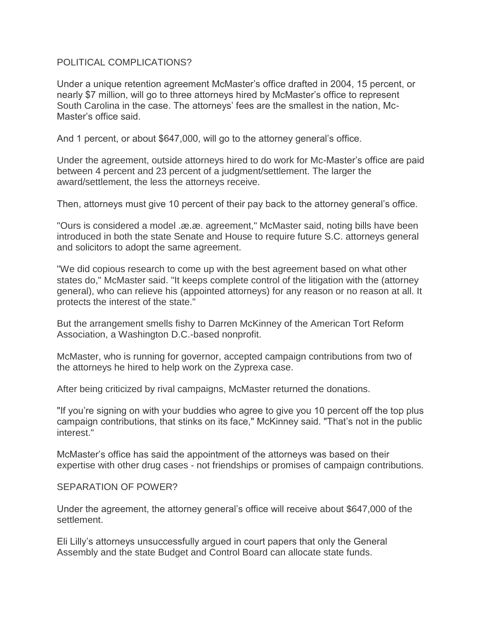## POLITICAL COMPLICATIONS?

Under a unique retention agreement McMaster's office drafted in 2004, 15 percent, or nearly \$7 million, will go to three attorneys hired by McMaster's office to represent South Carolina in the case. The attorneys' fees are the smallest in the nation, Mc-Master's office said.

And 1 percent, or about \$647,000, will go to the attorney general's office.

Under the agreement, outside attorneys hired to do work for Mc-Master's office are paid between 4 percent and 23 percent of a judgment/settlement. The larger the award/settlement, the less the attorneys receive.

Then, attorneys must give 10 percent of their pay back to the attorney general's office.

"Ours is considered a model .æ.æ. agreement," McMaster said, noting bills have been introduced in both the state Senate and House to require future S.C. attorneys general and solicitors to adopt the same agreement.

"We did copious research to come up with the best agreement based on what other states do," McMaster said. "It keeps complete control of the litigation with the (attorney general), who can relieve his (appointed attorneys) for any reason or no reason at all. It protects the interest of the state."

But the arrangement smells fishy to Darren McKinney of the American Tort Reform Association, a Washington D.C.-based nonprofit.

McMaster, who is running for governor, accepted campaign contributions from two of the attorneys he hired to help work on the Zyprexa case.

After being criticized by rival campaigns, McMaster returned the donations.

"If you're signing on with your buddies who agree to give you 10 percent off the top plus campaign contributions, that stinks on its face," McKinney said. "That's not in the public interest."

McMaster's office has said the appointment of the attorneys was based on their expertise with other drug cases - not friendships or promises of campaign contributions.

## SEPARATION OF POWER?

Under the agreement, the attorney general's office will receive about \$647,000 of the settlement.

Eli Lilly's attorneys unsuccessfully argued in court papers that only the General Assembly and the state Budget and Control Board can allocate state funds.